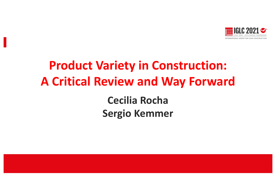

# **Product Variety in Construction: A Critical Review and Way Forward**

**Cecilia Rocha Sergio Kemmer**

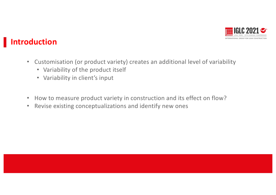

## **Introduction**

- Customisation (or product variety) creates an additional level of variability
	- Variability of the product itself
	- Variability in client's input
- How to measure product variety in construction and its effect on flow?
- Revise existing conceptualizations and identify new ones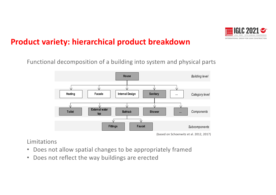

#### **Product variety: hierarchical product breakdown**

Functional decomposition of a building into system and physical parts



<sup>(</sup>based on Schoenwitz et al. 2012, 2017)

Limitations

- Does not allow spatial changes to be appropriately framed
- Does not reflect the way buildings are erected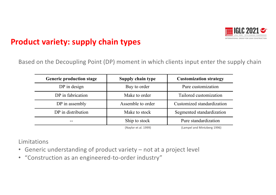

#### **Product variety: supply chain types**

Based on the Decoupling Point (DP) moment in which clients input enter the supply chain

| <b>Generic production stage</b> | Supply chain type    | <b>Customization strategy</b> |
|---------------------------------|----------------------|-------------------------------|
| DP in design                    | Buy to order         | Pure customization            |
| DP in fabrication               | Make to order        | Tailored customization        |
| DP in assembly                  | Assemble to order    | Customized standardization    |
| DP in distribution              | Make to stock        | Segmented standardization     |
| $- -$                           | Ship to stock        | Pure standardization          |
|                                 | (Naylor et al. 1999) | (Lampel and Mintzberg 1996)   |

Limitations

- Generic understanding of product variety not at a project level
- "Construction as an engineered-to-order industry"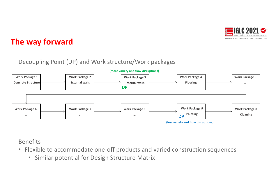

### **The way forward**

#### Decoupling Point (DP) and Work structure/Work packages



Benefits

- Flexible to accommodate one-off products and varied construction sequences
	- Similar potential for Design Structure Matrix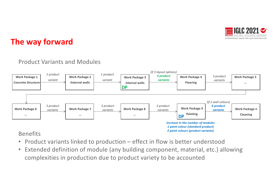

## **The way forward**

#### Product Variants and Modules



#### Benefits

- Product variants linked to production effect in flow is better understood
- Extended definition of module (any building component, material, etc.) allowing complexities in production due to product variety to be accounted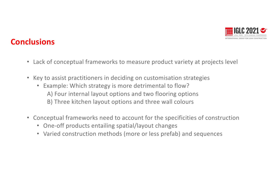

### **Conclusions**

- Lack of conceptual frameworks to measure product variety at projects level
- Key to assist practitioners in deciding on customisation strategies
	- Example: Which strategy is more detrimental to flow? A) Four internal layout options and two flooring options B) Three kitchen layout options and three wall colours
- Conceptual frameworks need to account for the specificities of construction
	- One-off products entailing spatial/layout changes
	- Varied construction methods (more or less prefab) and sequences